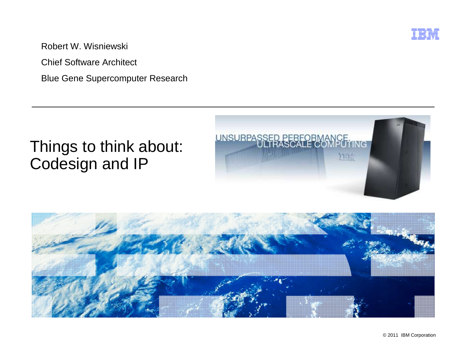

Robert W. Wisniewski

Chief Software Architect

Blue Gene Supercomputer Research

## Things to think about: Codesign and IP





© 2011 IBM Corporation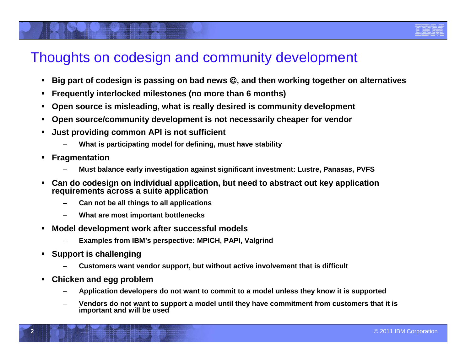### Thoughts on codesign and community development

- $\blacksquare$  $\blacksquare$  Big part of <code>codesign</code> is passing on bad news ©, and then working together on alternatives
- **Frequently interlocked milestones (no more than 6 months)**
- $\blacksquare$ **Open source is misleading, what is really desired is community development**
- **Open source/community development is not necessarily cheaper for vendor**
- **Just providing common API is not sufficient**
	- **What is participating model for defining, must have stability**
- $\blacksquare$  **Fragmentation**
	- **Must balance early investigation against significant investment: Lustre, Panasas, PVFS**
- $\blacksquare$  **Can do codesign on individual application, but need to abstract out key application requirements across <sup>a</sup> suite application**
	- **Can not be all things to all applications**
	- **What are most important bottlenecks**
- $\blacksquare$  **Model development work after successful models**
	- **Examples from IBM's perspective: MPICH, PAPI, Valgrind**
- **Support is challenging**

**2**

- **Customers want vendor support, but without active involvement that is difficult**
- **Chicken and egg problem**
	- **Application developers do not want to commit to <sup>a</sup> model unless they know it is supported**
	- **Vendors do not want to support <sup>a</sup> model until they have commitment from customers that it is important and will be used**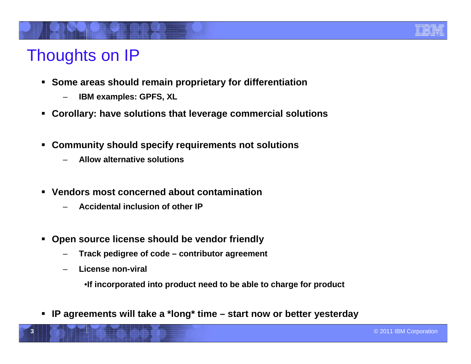

# Thoughts on IP

- **Some areas should remain proprietary for differentiation**
	- –**IBM examples: GPFS, XL**
- **Corollary: have solutions that leverage commercial solutions**
- **Community should specify requirements not solutions**
	- –**Allow alternative solutions**
- **Vendors most concerned about contamination**
	- –**Accidental inclusion of other IP**
- **Open source license should be vendor friendly**
	- –**Track pedigree of code – contributor agreement**
	- –**License non-viral**

**3**

- •**If incorporated into product need to be able to charge for product**
- **IP agreements will take <sup>a</sup> \*long\* time – start now or better yesterday**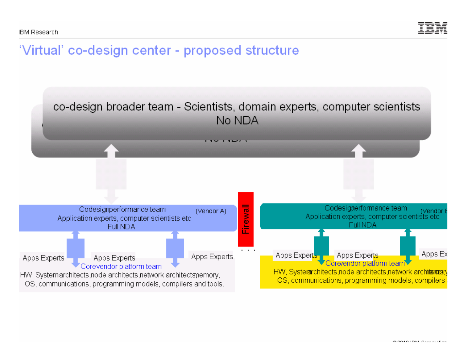

## 'Virtual' co-design center - proposed structure

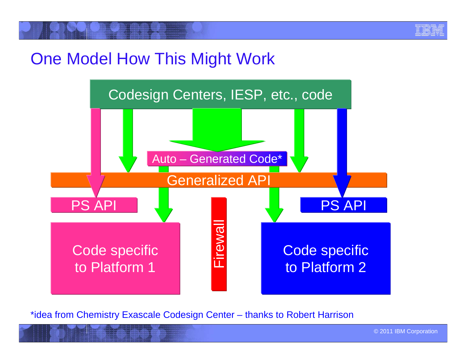

# One Model How This Might Work



**<sup>5</sup>**\*idea from Chemistry Exascale Codesign Center – thanks to Robert Harrison

© 2011 IBM Corporation